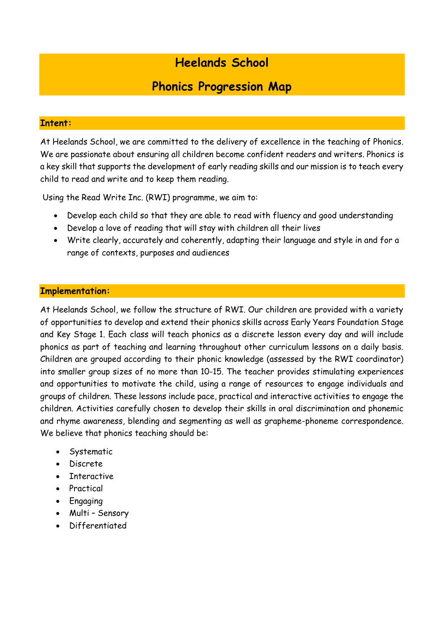# **Heelands School**

# **Phonics Progression Map**

# **Intent:**

At Heelands School, we are committed to the delivery of excellence in the teaching of Phonics. We are passionate about ensuring all children become confident readers and writers. Phonics is a key skill that supports the development of early reading skills and our mission is to teach every child to read and write and to keep them reading.

Using the Read Write Inc. (RWI) programme, we aim to:

- Develop each child so that they are able to read with fluency and good understanding
- Develop a love of reading that will stay with children all their lives
- Write clearly, accurately and coherently, adapting their language and style in and for a range of contexts, purposes and audiences

# **Implementation:**

At Heelands School, we follow the structure of RWI. Our children are provided with a variety of opportunities to develop and extend their phonics skills across Early Years Foundation Stage and Key Stage 1. Each class will teach phonics as a discrete lesson every day and will include phonics as part of teaching and learning throughout other curriculum lessons on a daily basis. Children are grouped according to their phonic knowledge (assessed by the RWI coordinator) into smaller group sizes of no more than 10-15. The teacher provides stimulating experiences and opportunities to motivate the child, using a range of resources to engage individuals and groups of children. These lessons include pace, practical and interactive activities to engage the children. Activities carefully chosen to develop their skills in oral discrimination and phonemic and rhyme awareness, blending and segmenting as well as grapheme-phoneme correspondence. We believe that phonics teaching should be:

- Systematic
- Discrete
- Interactive
- Practical
- Engaging
- Multi Sensory
- Differentiated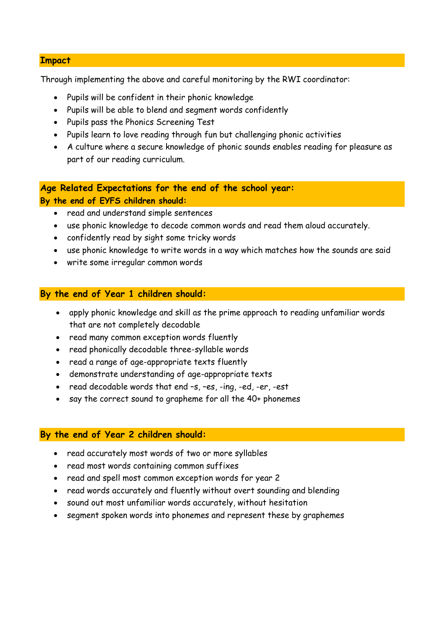#### **Impact**

Through implementing the above and careful monitoring by the RWI coordinator:

- Pupils will be confident in their phonic knowledge
- Pupils will be able to blend and segment words confidently
- Pupils pass the Phonics Screening Test
- Pupils learn to love reading through fun but challenging phonic activities
- A culture where a secure knowledge of phonic sounds enables reading for pleasure as part of our reading curriculum.

**Age Related Expectations for the end of the school year: By the end of EYFS children should:**

- read and understand simple sentences
- use phonic knowledge to decode common words and read them aloud accurately.
- confidently read by sight some tricky words
- use phonic knowledge to write words in a way which matches how the sounds are said
- write some irregular common words

# **By the end of Year 1 children should:**

- apply phonic knowledge and skill as the prime approach to reading unfamiliar words that are not completely decodable
- read many common exception words fluently
- read phonically decodable three-syllable words
- read a range of age-appropriate texts fluently
- demonstrate understanding of age-appropriate texts
- read decodable words that end -s, -es, -ing, -ed, -er, -est
- say the correct sound to grapheme for all the 40+ phonemes

## **By the end of Year 2 children should:**

- read accurately most words of two or more syllables
- read most words containing common suffixes
- read and spell most common exception words for year 2
- read words accurately and fluently without overt sounding and blending
- sound out most unfamiliar words accurately, without hesitation
- segment spoken words into phonemes and represent these by graphemes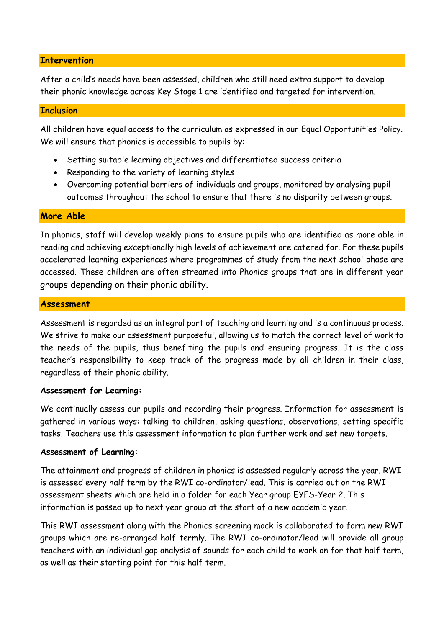#### **Intervention**

After a child's needs have been assessed, children who still need extra support to develop their phonic knowledge across Key Stage 1 are identified and targeted for intervention.

## **Inclusion**

All children have equal access to the curriculum as expressed in our Equal Opportunities Policy. We will ensure that phonics is accessible to pupils by:

- Setting suitable learning objectives and differentiated success criteria
- Responding to the variety of learning styles
- Overcoming potential barriers of individuals and groups, monitored by analysing pupil outcomes throughout the school to ensure that there is no disparity between groups.

## **More Able**

In phonics, staff will develop weekly plans to ensure pupils who are identified as more able in reading and achieving exceptionally high levels of achievement are catered for. For these pupils accelerated learning experiences where programmes of study from the next school phase are accessed. These children are often streamed into Phonics groups that are in different year groups depending on their phonic ability.

#### **Assessment**

Assessment is regarded as an integral part of teaching and learning and is a continuous process. We strive to make our assessment purposeful, allowing us to match the correct level of work to the needs of the pupils, thus benefiting the pupils and ensuring progress. It is the class teacher's responsibility to keep track of the progress made by all children in their class, regardless of their phonic ability.

#### **Assessment for Learning:**

We continually assess our pupils and recording their progress. Information for assessment is gathered in various ways: talking to children, asking questions, observations, setting specific tasks. Teachers use this assessment information to plan further work and set new targets.

## **Assessment of Learning:**

The attainment and progress of children in phonics is assessed regularly across the year. RWI is assessed every half term by the RWI co-ordinator/lead. This is carried out on the RWI assessment sheets which are held in a folder for each Year group EYFS-Year 2. This information is passed up to next year group at the start of a new academic year.

This RWI assessment along with the Phonics screening mock is collaborated to form new RWI groups which are re-arranged half termly. The RWI co-ordinator/lead will provide all group teachers with an individual gap analysis of sounds for each child to work on for that half term, as well as their starting point for this half term.